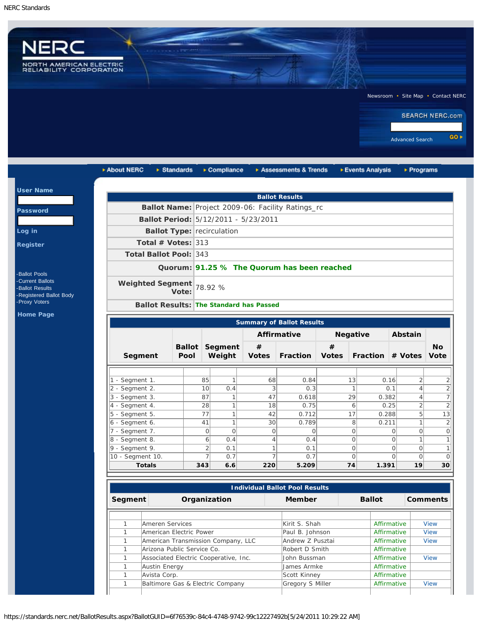Us

 $L<sub>o</sub>$ Re

H<sub>c</sub>



| <b>User Name</b>                                                                            |                                    |                                   |                     |                                 |                                                |                                                   |                   |                      |                                                          |           |
|---------------------------------------------------------------------------------------------|------------------------------------|-----------------------------------|---------------------|---------------------------------|------------------------------------------------|---------------------------------------------------|-------------------|----------------------|----------------------------------------------------------|-----------|
|                                                                                             |                                    |                                   |                     |                                 |                                                | <b>Ballot Results</b>                             |                   |                      |                                                          |           |
| <b>Password</b>                                                                             |                                    |                                   |                     |                                 |                                                | Ballot Name: Project 2009-06: Facility Ratings_rc |                   |                      |                                                          |           |
|                                                                                             |                                    |                                   |                     |                                 | Ballot Period: 5/12/2011 - 5/23/2011           |                                                   |                   |                      |                                                          |           |
|                                                                                             |                                    | <b>Ballot Type: recirculation</b> |                     |                                 |                                                |                                                   |                   |                      |                                                          |           |
|                                                                                             | Total # Votes: $313$               |                                   |                     |                                 |                                                |                                                   |                   |                      |                                                          |           |
|                                                                                             | <b>Total Ballot Pool: 343</b>      |                                   |                     |                                 |                                                |                                                   |                   |                      |                                                          |           |
|                                                                                             |                                    |                                   |                     |                                 |                                                | Quorum: 91.25 % The Quorum has been reached       |                   |                      |                                                          |           |
| <b>Ballot Pools</b><br>-Current Ballots<br><b>Ballot Results</b><br>-Registered Ballot Body | Weighted Segment                   | Vote:                             | 78.92 %             |                                 |                                                |                                                   |                   |                      |                                                          |           |
| -Proxy Voters                                                                               |                                    |                                   |                     |                                 | <b>Ballot Results: The Standard has Passed</b> |                                                   |                   |                      |                                                          |           |
|                                                                                             |                                    |                                   |                     |                                 |                                                |                                                   |                   |                      |                                                          |           |
| <b>Home Page</b>                                                                            |                                    |                                   |                     |                                 |                                                | <b>Summary of Ballot Results</b>                  |                   |                      |                                                          |           |
|                                                                                             |                                    |                                   |                     |                                 |                                                | <b>Affirmative</b>                                |                   | <b>Negative</b>      | Abstain                                                  |           |
|                                                                                             | Segment                            | Pool                              |                     | <b>Ballot Segment</b><br>Weight | $\#$<br><b>Votes</b>                           | <b>Fraction</b>                                   | #<br><b>Votes</b> |                      | Fraction # Votes Vote                                    |           |
|                                                                                             |                                    |                                   |                     |                                 |                                                |                                                   |                   |                      |                                                          |           |
|                                                                                             | 1 - Segment 1.                     |                                   | 85                  | 1                               | 68                                             | 0.84                                              |                   | 13                   | $\overline{2}$<br>0.16                                   |           |
|                                                                                             | 2 - Segment 2.                     |                                   | 10                  | 0.4                             | 3                                              | 0.3                                               |                   | $\mathbf{1}$         | 0.1<br>$\overline{4}$                                    |           |
|                                                                                             | 3 - Segment 3.                     |                                   | 87                  | 1                               | 47                                             | 0.618                                             |                   | 29<br>0.382          | $\overline{4}$                                           |           |
|                                                                                             | 4 - Segment 4.                     |                                   | 28                  | 1                               | 18                                             | 0.75                                              |                   | 6                    | $\overline{2}$<br>0.25                                   |           |
|                                                                                             | 5 - Segment 5.                     |                                   | 77                  | 1                               | 42                                             | 0.712                                             |                   | 17<br>0.288          | 5                                                        |           |
|                                                                                             | 6 - Segment 6.                     |                                   | 41                  | $\mathbf{1}$                    | 30                                             | 0.789                                             |                   | 8<br>0.211           | $\mathbf{1}$                                             |           |
|                                                                                             | 7 - Segment 7.                     |                                   | $\circ$             | $\circ$                         | $\overline{O}$                                 | $\circ$                                           |                   | 0                    | $\overline{O}$<br>0                                      |           |
|                                                                                             | 8 - Segment 8.                     |                                   | 6                   | 0.4                             | 4                                              | 0.4                                               |                   | $\Omega$             | 1<br>0                                                   | <b>No</b> |
|                                                                                             | 9 - Segment 9.<br>10 - Segment 10. |                                   | $\overline{2}$<br>7 | 0.1<br>0.7                      | 1<br>$\overline{7}$                            | 0.1<br>0.7                                        |                   | $\Omega$<br>$\Omega$ | $\overline{O}$<br>$\Omega$<br>$\overline{O}$<br>$\Omega$ |           |

| <b>Individual Ballot Pool Results</b> |                                       |                  |  |               |                 |  |  |
|---------------------------------------|---------------------------------------|------------------|--|---------------|-----------------|--|--|
| Segment                               | Organization                          | <b>Member</b>    |  | <b>Ballot</b> | <b>Comments</b> |  |  |
|                                       |                                       |                  |  |               |                 |  |  |
|                                       | Ameren Services                       | Kirit S. Shah    |  | Affirmative   | <b>View</b>     |  |  |
|                                       | American Electric Power               | Paul B. Johnson  |  | Affirmative   | <b>View</b>     |  |  |
|                                       | American Transmission Company, LLC    | Andrew Z Pusztai |  | Affirmative   | <b>View</b>     |  |  |
|                                       | Arizona Public Service Co.            | Robert D Smith   |  | Affirmative   |                 |  |  |
|                                       | Associated Electric Cooperative, Inc. | Uohn Bussman     |  | Affirmative   | View            |  |  |
|                                       | Austin Energy                         | James Armke      |  | Affirmative   |                 |  |  |
|                                       | Avista Corp.                          | Scott Kinney     |  | Affirmative   |                 |  |  |
|                                       | Baltimore Gas & Electric Company      | Gregory S Miller |  | Affirmative   | View            |  |  |

https://standards.nerc.net/BallotResults.aspx?BallotGUID=6f76539c-84c4-4748-9742-99c12227492b[5/24/2011 10:29:22 AM]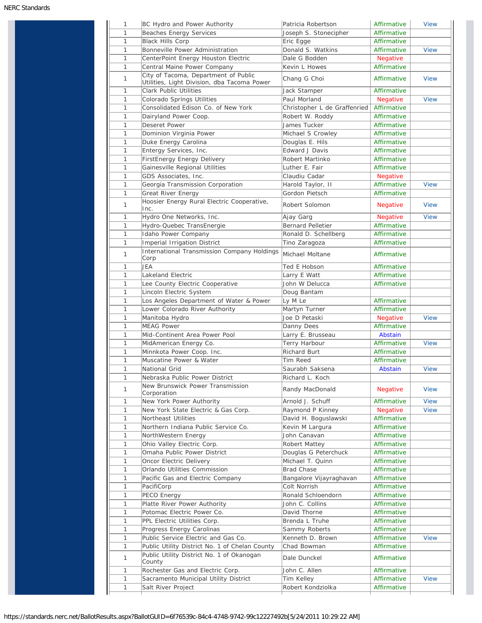| 1            | BC Hydro and Power Authority                                                        | Patricia Robertson           | Affirmative     | <b>View</b> |
|--------------|-------------------------------------------------------------------------------------|------------------------------|-----------------|-------------|
| $\mathbf{1}$ | <b>Beaches Energy Services</b>                                                      | Joseph S. Stonecipher        | Affirmative     |             |
| $\mathbf{1}$ | <b>Black Hills Corp</b>                                                             | Eric Egge                    | Affirmative     |             |
| 1            | Bonneville Power Administration                                                     | Donald S. Watkins            | Affirmative     | <b>View</b> |
| 1            | CenterPoint Energy Houston Electric                                                 | Dale G Bodden                | <b>Negative</b> |             |
| 1            | Central Maine Power Company                                                         | Kevin L Howes                | Affirmative     |             |
| 1            | City of Tacoma, Department of Public<br>Utilities, Light Division, dba Tacoma Power | Chang G Choi                 | Affirmative     | <b>View</b> |
| 1            | <b>Clark Public Utilities</b>                                                       | Jack Stamper                 | Affirmative     |             |
| 1            | Colorado Springs Utilities                                                          | Paul Morland                 | <b>Negative</b> | <b>View</b> |
| 1            | Consolidated Edison Co. of New York                                                 | Christopher L de Graffenried | Affirmative     |             |
| 1            | Dairyland Power Coop.                                                               | Robert W. Roddy              | Affirmative     |             |
| 1            | <b>Deseret Power</b>                                                                | James Tucker                 | Affirmative     |             |
| 1            | Dominion Virginia Power                                                             | Michael S Crowley            | Affirmative     |             |
| 1            | Duke Energy Carolina                                                                | Douglas E. Hils              | Affirmative     |             |
| 1            | Entergy Services, Inc.                                                              | <b>Edward J Davis</b>        | Affirmative     |             |
| 1            | FirstEnergy Energy Delivery                                                         | Robert Martinko              | Affirmative     |             |
| 1            | Gainesville Regional Utilities                                                      | Luther E. Fair               | Affirmative     |             |
| 1            | GDS Associates, Inc.                                                                | Claudiu Cadar                | Negative        |             |
| 1            | Georgia Transmission Corporation                                                    | Harold Taylor, II            | Affirmative     | <b>View</b> |
| 1            | Great River Energy                                                                  | Gordon Pietsch               | Affirmative     |             |
| 1            | Hoosier Energy Rural Electric Cooperative,                                          | Robert Solomon               | <b>Negative</b> | <b>View</b> |
|              | Inc.                                                                                |                              |                 |             |
| 1            | Hydro One Networks, Inc.                                                            | Ajay Garg                    | <b>Negative</b> | <b>View</b> |
| 1            | Hydro-Quebec TransEnergie                                                           | <b>Bernard Pelletier</b>     | Affirmative     |             |
| 1            | Idaho Power Company                                                                 | Ronald D. Schellberg         | Affirmative     |             |
| 1            | <b>Imperial Irrigation District</b>                                                 | Tino Zaragoza                | Affirmative     |             |
| 1            | <b>International Transmission Company Holdings</b><br>Corp                          | Michael Moltane              | Affirmative     |             |
| 1            | JEA                                                                                 | Ted E Hobson                 | Affirmative     |             |
| 1            | Lakeland Electric                                                                   | Larry E Watt                 | Affirmative     |             |
| 1            | Lee County Electric Cooperative                                                     | John W Delucca               | Affirmative     |             |
| 1            | Lincoln Electric System                                                             | Doug Bantam                  |                 |             |
| 1            | Los Angeles Department of Water & Power                                             | Ly M Le                      | Affirmative     |             |
| 1            | Lower Colorado River Authority                                                      | Martyn Turner                | Affirmative     |             |
| 1            | Manitoba Hydro                                                                      | Joe D Petaski                | Negative        | <b>View</b> |
|              |                                                                                     |                              |                 |             |
| 1            | <b>MEAG Power</b>                                                                   | Danny Dees                   | Affirmative     |             |
| 1            | Mid-Continent Area Power Pool                                                       | Larry E. Brusseau            | Abstain         |             |
| 1            | MidAmerican Energy Co.                                                              | Terry Harbour                | Affirmative     | <b>View</b> |
| 1            | Minnkota Power Coop. Inc.                                                           | <b>Richard Burt</b>          | Affirmative     |             |
| 1            | Muscatine Power & Water                                                             | Tim Reed                     | Affirmative     |             |
| 1            | National Grid                                                                       | Saurabh Saksena              | Abstain         | <b>View</b> |
| 1            | Nebraska Public Power District                                                      | Richard L. Koch              |                 |             |
| 1            | New Brunswick Power Transmission<br>Corporation                                     | Randy MacDonald              | Negative        | <b>View</b> |
| 1            | New York Power Authority                                                            | Arnold J. Schuff             | Affirmative     | <b>View</b> |
| 1            | New York State Electric & Gas Corp.                                                 | Raymond P Kinney             | Negative        | <b>View</b> |
| 1            | Northeast Utilities                                                                 | David H. Boguslawski         | Affirmative     |             |
| 1            | Northern Indiana Public Service Co.                                                 | Kevin M Largura              | Affirmative     |             |
| 1            | NorthWestern Energy                                                                 | John Canavan                 | Affirmative     |             |
| 1            | Ohio Valley Electric Corp.                                                          | <b>Robert Mattey</b>         | Affirmative     |             |
| 1            | Omaha Public Power District                                                         | Douglas G Peterchuck         | Affirmative     |             |
| 1            | Oncor Electric Delivery                                                             | Michael T. Quinn             | Affirmative     |             |
| 1            | Orlando Utilities Commission                                                        | <b>Brad Chase</b>            | Affirmative     |             |
|              |                                                                                     |                              |                 |             |
| 1            | Pacific Gas and Electric Company                                                    | Bangalore Vijayraghavan      | Affirmative     |             |
| 1            | PacifiCorp                                                                          | Colt Norrish                 | Affirmative     |             |
| 1            | PECO Energy                                                                         | Ronald Schloendorn           | Affirmative     |             |
| 1            | Platte River Power Authority                                                        | John C. Collins              | Affirmative     |             |
| 1            | Potomac Electric Power Co.                                                          | David Thorne                 | Affirmative     |             |
| 1            | PPL Electric Utilities Corp.                                                        | Brenda L Truhe               | Affirmative     |             |
| 1            | Progress Energy Carolinas                                                           | Sammy Roberts                | Affirmative     |             |
| 1            | Public Service Electric and Gas Co.                                                 | Kenneth D. Brown             | Affirmative     | <b>View</b> |
|              |                                                                                     | Chad Bowman                  | Affirmative     |             |
| 1            | Public Utility District No. 1 of Chelan County                                      |                              |                 |             |
| 1            | Public Utility District No. 1 of Okanogan<br>County                                 | Dale Dunckel                 | Affirmative     |             |
| 1            |                                                                                     | John C. Allen                | Affirmative     |             |
| 1            | Rochester Gas and Electric Corp.<br>Sacramento Municipal Utility District           | Tim Kelley                   | Affirmative     | <b>View</b> |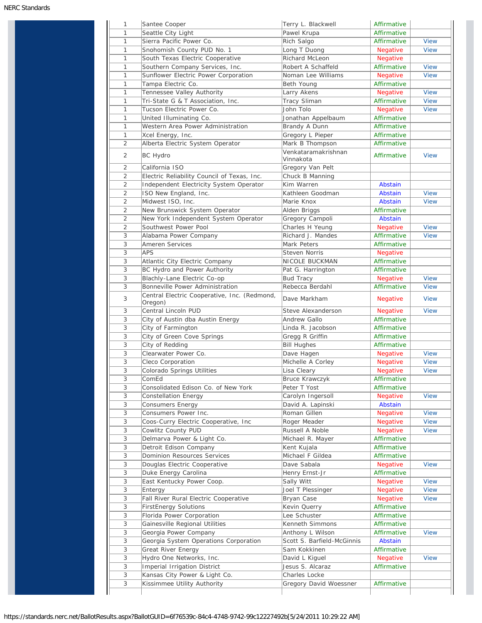| 1                         | Santee Cooper                                           | Terry L. Blackwell               | Affirmative     |             |
|---------------------------|---------------------------------------------------------|----------------------------------|-----------------|-------------|
| 1                         | Seattle City Light                                      | Pawel Krupa                      | Affirmative     |             |
| $\mathbf{1}$              | Sierra Pacific Power Co.                                | Rich Salgo                       | Affirmative     | <b>View</b> |
| 1                         | Snohomish County PUD No. 1                              | Long T Duong                     | <b>Negative</b> | <b>View</b> |
| $\mathbf{1}$              | South Texas Electric Cooperative                        | <b>Richard McLeon</b>            | <b>Negative</b> |             |
| $\mathbf{1}$              | Southern Company Services, Inc.                         | Robert A Schaffeld               | Affirmative     | <b>View</b> |
| 1                         | Sunflower Electric Power Corporation                    | Noman Lee Williams               | <b>Negative</b> | <b>View</b> |
| 1                         | Tampa Electric Co.                                      | Beth Young                       | Affirmative     |             |
| $\mathbf{1}$              | Tennessee Valley Authority                              | Larry Akens                      | Negative        | <b>View</b> |
| 1                         | Tri-State G & T Association, Inc.                       | <b>Tracy Sliman</b>              | Affirmative     | <b>View</b> |
| $\mathbf{1}$              | Tucson Electric Power Co.                               | John Tolo                        | <b>Negative</b> | <b>View</b> |
| 1                         | United Illuminating Co.                                 | Jonathan Appelbaum               | Affirmative     |             |
| 1                         | Western Area Power Administration                       | Brandy A Dunn                    | Affirmative     |             |
| $\mathbf{1}$              | Xcel Energy, Inc.                                       | Gregory L Pieper                 | Affirmative     |             |
| 2                         | Alberta Electric System Operator                        | Mark B Thompson                  | Affirmative     |             |
| 2                         | <b>BC Hydro</b>                                         | Venkataramakrishnan<br>Vinnakota | Affirmative     | <b>View</b> |
| 2                         | California ISO                                          | Gregory Van Pelt                 |                 |             |
| 2                         | Electric Reliability Council of Texas, Inc.             | Chuck B Manning                  |                 |             |
| 2                         | Independent Electricity System Operator                 | Kim Warren                       | <b>Abstain</b>  |             |
| 2                         | ISO New England, Inc.                                   | Kathleen Goodman                 | Abstain         | <b>View</b> |
| 2                         | Midwest ISO, Inc.                                       | Marie Knox                       | Abstain         | <b>View</b> |
| $\overline{2}$            | New Brunswick System Operator                           | Alden Briggs                     | Affirmative     |             |
| 2                         | New York Independent System Operator                    | Gregory Campoli                  | Abstain         |             |
| 2                         | Southwest Power Pool                                    | Charles H Yeung                  | <b>Negative</b> | <b>View</b> |
| 3                         | Alabama Power Company                                   | Richard J. Mandes                | Affirmative     | <b>View</b> |
| 3                         | Ameren Services                                         | Mark Peters                      | Affirmative     |             |
| 3                         | <b>APS</b>                                              | <b>Steven Norris</b>             |                 |             |
|                           |                                                         |                                  | <b>Negative</b> |             |
| 3                         | Atlantic City Electric Company                          | NICOLE BUCKMAN                   | Affirmative     |             |
| 3                         | BC Hydro and Power Authority                            | Pat G. Harrington                | Affirmative     |             |
| 3                         | Blachly-Lane Electric Co-op                             | <b>Bud Tracy</b>                 | <b>Negative</b> | <b>View</b> |
| 3                         | Bonneville Power Administration                         | Rebecca Berdahl                  | Affirmative     | <b>View</b> |
| 3                         | Central Electric Cooperative, Inc. (Redmond,<br>Oregon) | Dave Markham                     | <b>Negative</b> | <b>View</b> |
| 3                         | Central Lincoln PUD                                     | Steve Alexanderson               | <b>Negative</b> | <b>View</b> |
| 3                         | City of Austin dba Austin Energy                        | Andrew Gallo                     | Affirmative     |             |
| 3                         | City of Farmington                                      | Linda R. Jacobson                | Affirmative     |             |
| 3                         | City of Green Cove Springs                              | Gregg R Griffin                  | Affirmative     |             |
| 3                         | City of Redding                                         | <b>Bill Hughes</b>               | Affirmative     |             |
| 3                         | Clearwater Power Co.                                    | Dave Hagen                       | <b>Negative</b> | <b>View</b> |
| 3                         | Cleco Corporation                                       | Michelle A Corley                | <b>Negative</b> | <b>View</b> |
| 3                         | Colorado Springs Utilities                              | Lisa Cleary                      | Negative        | <b>View</b> |
| 3                         | ComEd                                                   | Bruce Krawczyk                   | Affirmative     |             |
| 3                         | Consolidated Edison Co. of New York                     | Peter T Yost                     | Affirmative     |             |
| 3                         | Constellation Energy                                    | Carolyn Ingersoll                | Negative        | <b>View</b> |
| 3                         | Consumers Energy                                        | David A. Lapinski                | Abstain         |             |
| 3                         | Consumers Power Inc.                                    | Roman Gillen                     | Negative        | <b>View</b> |
| 3                         | Coos-Curry Electric Cooperative, Inc                    | Roger Meader                     | <b>Negative</b> | <b>View</b> |
| 3                         | Cowlitz County PUD                                      | Russell A Noble                  | Negative        | <b>View</b> |
| 3                         | Delmarva Power & Light Co.                              | Michael R. Mayer                 | Affirmative     |             |
| 3                         | Detroit Edison Company                                  | Kent Kujala                      | Affirmative     |             |
| 3                         | Dominion Resources Services                             | Michael F Gildea                 | Affirmative     |             |
| 3                         | Douglas Electric Cooperative                            | Dave Sabala                      | Negative        | <b>View</b> |
| 3                         | Duke Energy Carolina                                    | Henry Ernst-Jr                   | Affirmative     |             |
| 3                         | East Kentucky Power Coop.                               | Sally Witt                       | Negative        | <b>View</b> |
| 3                         |                                                         | Joel T Plessinger                | <b>Negative</b> | <b>View</b> |
| 3                         | Entergy                                                 | Bryan Case                       |                 |             |
|                           | Fall River Rural Electric Cooperative                   |                                  | Negative        | <b>View</b> |
| 3                         | <b>FirstEnergy Solutions</b>                            | Kevin Querry                     | Affirmative     |             |
| 3                         | Florida Power Corporation                               | Lee Schuster                     | Affirmative     |             |
| 3                         | Gainesville Regional Utilities                          | Kenneth Simmons                  | Affirmative     |             |
| 3                         | Georgia Power Company                                   | Anthony L Wilson                 | Affirmative     | <b>View</b> |
| 3                         | Georgia System Operations Corporation                   | Scott S. Barfield-McGinnis       | Abstain         |             |
| 3                         | Great River Energy                                      | Sam Kokkinen                     | Affirmative     |             |
| 3                         | Hydro One Networks, Inc.                                | David L Kiguel                   | Negative        | <b>View</b> |
| 3                         | Imperial Irrigation District                            | Jesus S. Alcaraz                 | Affirmative     |             |
| 3                         | Kansas City Power & Light Co.                           | Charles Locke                    |                 |             |
| $\ensuremath{\mathsf{3}}$ |                                                         |                                  |                 |             |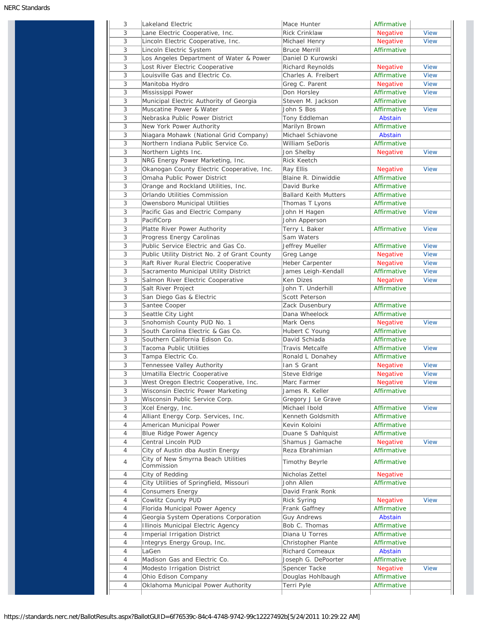| 3      | Lakeland Electric                                               | Mace Hunter                           | Affirmative                |             |
|--------|-----------------------------------------------------------------|---------------------------------------|----------------------------|-------------|
| 3      | Lane Electric Cooperative, Inc.                                 | Rick Crinklaw                         | <b>Negative</b>            | <b>View</b> |
| 3      | Lincoln Electric Cooperative, Inc.                              | Michael Henry                         | Negative                   | <b>View</b> |
| 3      | Lincoln Electric System                                         | <b>Bruce Merrill</b>                  | Affirmative                |             |
| 3      | Los Angeles Department of Water & Power                         | Daniel D Kurowski                     |                            |             |
| 3      | Lost River Electric Cooperative                                 | Richard Reynolds                      | <b>Negative</b>            | <b>View</b> |
| 3      | Louisville Gas and Electric Co.                                 | Charles A. Freibert                   | Affirmative                | <b>View</b> |
| 3      | Manitoba Hydro                                                  | Greg C. Parent                        | Negative                   | <b>View</b> |
| 3      | Mississippi Power                                               | Don Horsley                           | Affirmative                | <b>View</b> |
| 3      | Municipal Electric Authority of Georgia                         | Steven M. Jackson                     | Affirmative                |             |
| 3      | Muscatine Power & Water                                         | John S Bos                            | Affirmative                | <b>View</b> |
| 3      | Nebraska Public Power District                                  | Tony Eddleman                         | Abstain                    |             |
| 3      | New York Power Authority                                        | Marilyn Brown                         | Affirmative                |             |
| 3      | Niagara Mohawk (National Grid Company)                          | Michael Schiavone                     | Abstain                    |             |
| 3      | Northern Indiana Public Service Co.                             | <b>William SeDoris</b>                | Affirmative                |             |
| 3      | Northern Lights Inc.                                            | Jon Shelby                            | Negative                   | <b>View</b> |
| 3      | NRG Energy Power Marketing, Inc.                                | Rick Keetch                           |                            |             |
| 3      | Okanogan County Electric Cooperative, Inc.                      | Ray Ellis                             | <b>Negative</b>            | <b>View</b> |
| 3      | Omaha Public Power District                                     | Blaine R. Dinwiddie                   | Affirmative                |             |
| 3      | Orange and Rockland Utilities, Inc.                             | David Burke                           | Affirmative                |             |
| 3      | Orlando Utilities Commission                                    | <b>Ballard Keith Mutters</b>          | Affirmative                |             |
| 3      | Owensboro Municipal Utilities                                   | Thomas T Lyons                        | Affirmative                |             |
| 3      | Pacific Gas and Electric Company                                | John H Hagen                          | Affirmative                | <b>View</b> |
| 3      | PacifiCorp                                                      | John Apperson                         |                            |             |
| 3      | Platte River Power Authority                                    | Terry L Baker                         | Affirmative                | <b>View</b> |
| 3      | Progress Energy Carolinas                                       | Sam Waters                            |                            |             |
| 3      | Public Service Electric and Gas Co.                             | Jeffrey Mueller                       | Affirmative                | <b>View</b> |
| 3      | Public Utility District No. 2 of Grant County                   | Greg Lange                            | <b>Negative</b>            | <b>View</b> |
| 3      | Raft River Rural Electric Cooperative                           | Heber Carpenter                       | <b>Negative</b>            | <b>View</b> |
| 3      | Sacramento Municipal Utility District                           | James Leigh-Kendall                   | Affirmative                | <b>View</b> |
| 3      | Salmon River Electric Cooperative                               | Ken Dizes                             | Negative                   | <b>View</b> |
| 3      | Salt River Project                                              | John T. Underhill                     | Affirmative                |             |
| 3      | San Diego Gas & Electric                                        | Scott Peterson                        |                            |             |
| 3      | Santee Cooper                                                   | Zack Dusenbury                        | Affirmative                |             |
| 3      | Seattle City Light                                              | Dana Wheelock                         | Affirmative                |             |
| 3      | Snohomish County PUD No. 1                                      | Mark Oens                             | Negative                   | <b>View</b> |
| 3      | South Carolina Electric & Gas Co.                               | Hubert C Young                        | Affirmative                |             |
| 3      | Southern California Edison Co.                                  | David Schiada                         | Affirmative                |             |
| 3      | Tacoma Public Utilities                                         | Travis Metcalfe                       | Affirmative                | <b>View</b> |
| 3      | Tampa Electric Co.                                              | Ronald L Donahey                      | Affirmative                |             |
| 3      | Tennessee Valley Authority                                      | Ian S Grant                           | <b>Negative</b>            | <b>View</b> |
| 3      | Umatilla Electric Cooperative                                   | Steve Eldrige                         | Negative                   | <b>View</b> |
| 3      | West Oregon Electric Cooperative, Inc.                          | Marc Farmer                           | <b>Negative</b>            | <b>View</b> |
| 3      | Wisconsin Electric Power Marketing                              | James R. Keller                       | Affirmative                |             |
| 3      | Wisconsin Public Service Corp.                                  | Gregory J Le Grave                    |                            |             |
|        |                                                                 |                                       |                            | <b>View</b> |
| 3<br>4 | Xcel Energy, Inc.                                               | Michael Ibold<br>Kenneth Goldsmith    | Affirmative                |             |
|        | Alliant Energy Corp. Services, Inc.<br>American Municipal Power | Kevin Koloini                         | Affirmative<br>Affirmative |             |
| 4      |                                                                 |                                       |                            |             |
| 4      | Blue Ridge Power Agency<br>Central Lincoln PUD                  | Duane S Dahlquist<br>Shamus J Gamache | Affirmative                | <b>View</b> |
| 4      |                                                                 | Reza Ebrahimian                       | Negative                   |             |
| 4      | City of Austin dba Austin Energy                                |                                       | Affirmative                |             |
| 4      | City of New Smyrna Beach Utilities<br>Commission                | Timothy Beyrle                        | Affirmative                |             |
| 4      | City of Redding                                                 | Nicholas Zettel                       | <b>Negative</b>            |             |
| 4      | City Utilities of Springfield, Missouri                         | John Allen                            | Affirmative                |             |
|        |                                                                 | David Frank Ronk                      |                            |             |
| 4      | Consumers Energy                                                |                                       |                            |             |
| 4      | Cowlitz County PUD                                              | <b>Rick Syring</b>                    | Negative                   | <b>View</b> |
| 4      | Florida Municipal Power Agency                                  | Frank Gaffney                         | Affirmative                |             |
| 4      | Georgia System Operations Corporation                           | <b>Guy Andrews</b>                    | Abstain                    |             |
| 4      | Illinois Municipal Electric Agency                              | Bob C. Thomas                         | Affirmative                |             |
| 4      | Imperial Irrigation District                                    | Diana U Torres                        | Affirmative                |             |
| 4      | Integrys Energy Group, Inc.                                     | Christopher Plante                    | Affirmative                |             |
| 4      | LaGen                                                           | Richard Comeaux                       | Abstain                    |             |
| 4      | Madison Gas and Electric Co.                                    | Joseph G. DePoorter                   | Affirmative                |             |
| 4      | Modesto Irrigation District                                     |                                       | Negative                   | <b>View</b> |
| 4      | Ohio Edison Company                                             | Spencer Tacke<br>Douglas Hohlbaugh    | Affirmative                |             |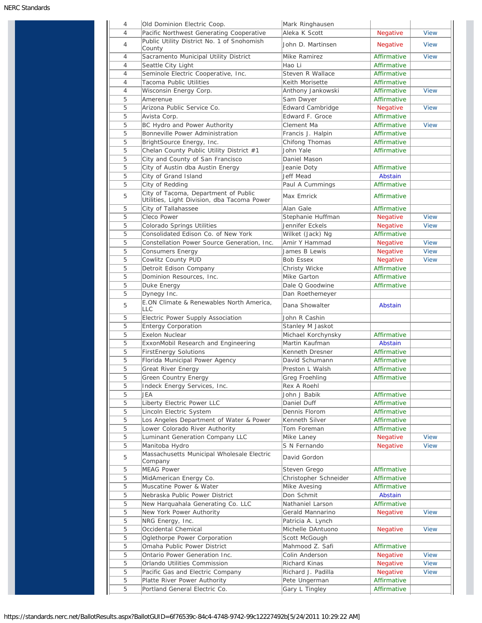| 4<br>$\overline{4}$ | Old Dominion Electric Coop.<br>Pacific Northwest Generating Cooperative             | Mark Ringhausen<br>Aleka K Scott | Negative                   | <b>View</b>                                                             |
|---------------------|-------------------------------------------------------------------------------------|----------------------------------|----------------------------|-------------------------------------------------------------------------|
|                     | Public Utility District No. 1 of Snohomish                                          |                                  |                            |                                                                         |
| $\overline{4}$      | County                                                                              | John D. Martinsen                | <b>Negative</b>            | <b>View</b>                                                             |
| $\overline{4}$      | Sacramento Municipal Utility District                                               | Mike Ramirez                     | Affirmative                | <b>View</b>                                                             |
| $\overline{4}$      | Seattle City Light                                                                  | Hao Li                           | Affirmative                |                                                                         |
| $\overline{4}$      | Seminole Electric Cooperative, Inc.                                                 | Steven R Wallace                 | Affirmative                |                                                                         |
| $\overline{4}$      | Tacoma Public Utilities                                                             | Keith Morisette                  | Affirmative                |                                                                         |
| $\overline{4}$      | Wisconsin Energy Corp.                                                              | Anthony Jankowski                | Affirmative                | <b>View</b>                                                             |
| 5                   | Amerenue                                                                            | Sam Dwyer                        | Affirmative                |                                                                         |
| 5                   | Arizona Public Service Co.                                                          | <b>Edward Cambridge</b>          | Negative                   | <b>View</b>                                                             |
| 5                   | Avista Corp.                                                                        | Edward F. Groce                  | Affirmative                |                                                                         |
| 5                   | BC Hydro and Power Authority                                                        | Clement Ma                       | Affirmative                | <b>View</b>                                                             |
| 5                   | Bonneville Power Administration                                                     | Francis J. Halpin                | Affirmative                |                                                                         |
| 5                   | BrightSource Energy, Inc.                                                           | Chifong Thomas                   | Affirmative                |                                                                         |
| 5                   | Chelan County Public Utility District #1                                            | John Yale                        | Affirmative                |                                                                         |
| 5                   | City and County of San Francisco                                                    | Daniel Mason                     |                            |                                                                         |
| 5                   | City of Austin dba Austin Energy                                                    | Jeanie Doty                      | Affirmative                |                                                                         |
| 5                   | City of Grand Island                                                                | Jeff Mead                        | Abstain                    |                                                                         |
| 5                   | City of Redding                                                                     | Paul A Cummings                  | Affirmative                |                                                                         |
| 5                   | City of Tacoma, Department of Public<br>Utilities, Light Division, dba Tacoma Power | Max Emrick                       | Affirmative                |                                                                         |
| 5                   | City of Tallahassee                                                                 | Alan Gale                        | Affirmative                |                                                                         |
| 5                   | Cleco Power                                                                         | Stephanie Huffman                | <b>Negative</b>            | <b>View</b>                                                             |
| 5                   | Colorado Springs Utilities                                                          | Jennifer Eckels                  | <b>Negative</b>            | <b>View</b>                                                             |
| 5                   | Consolidated Edison Co. of New York                                                 | Wilket (Jack) Ng                 | Affirmative                |                                                                         |
| 5                   | Constellation Power Source Generation, Inc.                                         | Amir Y Hammad                    | <b>Negative</b>            | <b>View</b>                                                             |
| 5                   | Consumers Energy                                                                    | James B Lewis                    | <b>Negative</b>            | <b>View</b>                                                             |
| 5                   | Cowlitz County PUD                                                                  | <b>Bob Essex</b>                 | Negative                   | <b>View</b>                                                             |
| 5                   | Detroit Edison Company                                                              | Christy Wicke                    | Affirmative                |                                                                         |
| 5                   | Dominion Resources, Inc.                                                            | Mike Garton                      | Affirmative                |                                                                         |
| 5                   | Duke Energy                                                                         | Dale Q Goodwine                  | Affirmative                |                                                                         |
| 5                   | Dynegy Inc.                                                                         | Dan Roethemeyer                  |                            |                                                                         |
|                     | E.ON Climate & Renewables North America,                                            |                                  |                            |                                                                         |
| 5                   | LLC                                                                                 | Dana Showalter                   | Abstain                    |                                                                         |
| 5                   | Electric Power Supply Association                                                   | John R Cashin                    |                            |                                                                         |
| 5                   | <b>Entergy Corporation</b>                                                          | Stanley M Jaskot                 |                            |                                                                         |
| 5                   | <b>Exelon Nuclear</b>                                                               | Michael Korchynsky               | Affirmative                |                                                                         |
| 5                   | ExxonMobil Research and Engineering                                                 | Martin Kaufman                   | Abstain                    |                                                                         |
| 5                   | <b>FirstEnergy Solutions</b>                                                        | Kenneth Dresner                  | Affirmative                |                                                                         |
| 5                   | Florida Municipal Power Agency                                                      | David Schumann                   | Affirmative                |                                                                         |
| 5                   | Great River Energy                                                                  | Preston L Walsh                  | Affirmative                |                                                                         |
| 5                   | Green Country Energy                                                                | Greg Froehling                   | Affirmative                |                                                                         |
| 5                   | Indeck Energy Services, Inc.                                                        | Rex A Roehl                      |                            |                                                                         |
| 5                   | JEA                                                                                 | John J Babik                     | Affirmative                |                                                                         |
| 5                   | Liberty Electric Power LLC                                                          | Daniel Duff                      | Affirmative                |                                                                         |
| 5                   | Lincoln Electric System                                                             | Dennis Florom                    | Affirmative                |                                                                         |
| 5                   | Los Angeles Department of Water & Power                                             | Kenneth Silver                   | Affirmative                |                                                                         |
| 5                   | Lower Colorado River Authority                                                      | Tom Foreman                      | Affirmative                |                                                                         |
| 5                   | Luminant Generation Company LLC                                                     | Mike Laney                       | Negative                   | <b>View</b>                                                             |
| 5                   | Manitoba Hydro                                                                      | S N Fernando                     | Negative                   | <b>View</b>                                                             |
| 5                   | Massachusetts Municipal Wholesale Electric                                          | David Gordon                     |                            |                                                                         |
|                     | Company                                                                             | Steven Grego                     | Affirmative                |                                                                         |
|                     |                                                                                     |                                  |                            |                                                                         |
| 5                   | <b>MEAG Power</b>                                                                   |                                  |                            |                                                                         |
| 5                   | MidAmerican Energy Co.                                                              | Christopher Schneider            | Affirmative                |                                                                         |
| 5                   | Muscatine Power & Water                                                             | Mike Avesing                     | Affirmative                |                                                                         |
| 5                   | Nebraska Public Power District                                                      | Don Schmit                       | Abstain                    |                                                                         |
| 5                   | New Harquahala Generating Co. LLC                                                   | Nathaniel Larson                 | Affirmative                |                                                                         |
| 5                   | New York Power Authority                                                            | Gerald Mannarino                 | <b>Negative</b>            |                                                                         |
| 5                   | NRG Energy, Inc.                                                                    | Patricia A. Lynch                |                            |                                                                         |
| 5                   | Occidental Chemical                                                                 | Michelle DAntuono                | <b>Negative</b>            |                                                                         |
| 5                   | Oglethorpe Power Corporation                                                        | Scott McGough                    |                            |                                                                         |
| 5                   | Omaha Public Power District                                                         | Mahmood Z. Safi                  | Affirmative                |                                                                         |
| 5                   | Ontario Power Generation Inc.                                                       | Colin Anderson                   | Negative                   |                                                                         |
| 5                   | Orlando Utilities Commission                                                        | Richard Kinas                    | <b>Negative</b>            |                                                                         |
| 5                   | Pacific Gas and Electric Company                                                    | Richard J. Padilla               | Negative                   |                                                                         |
| 5<br>5              | Platte River Power Authority<br>Portland General Electric Co.                       | Pete Ungerman<br>Gary L Tingley  | Affirmative<br>Affirmative | <b>View</b><br><b>View</b><br><b>View</b><br><b>View</b><br><b>View</b> |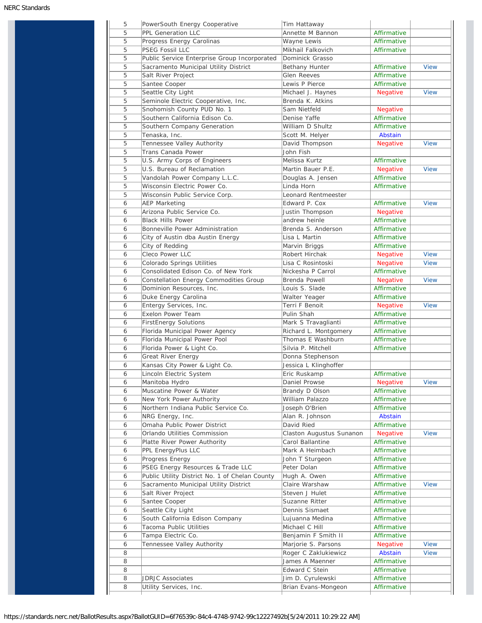| 5 | PowerSouth Energy Cooperative                  | Tim Hattaway             |                 |             |
|---|------------------------------------------------|--------------------------|-----------------|-------------|
| 5 | PPL Generation LLC                             | Annette M Bannon         | Affirmative     |             |
| 5 | Progress Energy Carolinas                      | Wayne Lewis              | Affirmative     |             |
| 5 | PSEG Fossil LLC                                | Mikhail Falkovich        | Affirmative     |             |
| 5 | Public Service Enterprise Group Incorporated   | Dominick Grasso          |                 |             |
| 5 | Sacramento Municipal Utility District          | Bethany Hunter           | Affirmative     | <b>View</b> |
| 5 | Salt River Project                             | Glen Reeves              | Affirmative     |             |
| 5 | Santee Cooper                                  | Lewis P Pierce           | Affirmative     |             |
| 5 | Seattle City Light                             | Michael J. Haynes        | <b>Negative</b> | <b>View</b> |
| 5 | Seminole Electric Cooperative, Inc.            | Brenda K. Atkins         |                 |             |
| 5 | Snohomish County PUD No. 1                     | Sam Nietfeld             | <b>Negative</b> |             |
| 5 | Southern California Edison Co.                 | Denise Yaffe             | Affirmative     |             |
| 5 | Southern Company Generation                    | William D Shultz         | Affirmative     |             |
| 5 |                                                |                          |                 |             |
|   | Tenaska, Inc.                                  | Scott M. Helyer          | Abstain         |             |
| 5 | Tennessee Valley Authority                     | David Thompson           | <b>Negative</b> | <b>View</b> |
| 5 | Trans Canada Power                             | John Fish                |                 |             |
| 5 | U.S. Army Corps of Engineers                   | Melissa Kurtz            | Affirmative     |             |
| 5 | U.S. Bureau of Reclamation                     | Martin Bauer P.E.        | Negative        | <b>View</b> |
| 5 | Vandolah Power Company L.L.C.                  | Douglas A. Jensen        | Affirmative     |             |
| 5 | Wisconsin Electric Power Co.                   | Linda Horn               | Affirmative     |             |
| 5 | Wisconsin Public Service Corp.                 | Leonard Rentmeester      |                 |             |
| 6 | <b>AEP Marketing</b>                           | Edward P. Cox            | Affirmative     | <b>View</b> |
| 6 | Arizona Public Service Co.                     | Justin Thompson          | Negative        |             |
| 6 | <b>Black Hills Power</b>                       | andrew heinle            | Affirmative     |             |
| 6 | Bonneville Power Administration                | Brenda S. Anderson       | Affirmative     |             |
| 6 | City of Austin dba Austin Energy               | Lisa L Martin            | Affirmative     |             |
| 6 | City of Redding                                | Marvin Briggs            | Affirmative     |             |
| 6 | Cleco Power LLC                                | Robert Hirchak           |                 | <b>View</b> |
|   |                                                |                          | <b>Negative</b> |             |
| 6 | Colorado Springs Utilities                     | Lisa C Rosintoski        | Negative        | <b>View</b> |
| 6 | Consolidated Edison Co. of New York            | Nickesha P Carrol        | Affirmative     |             |
| 6 | Constellation Energy Commodities Group         | Brenda Powell            | Negative        | <b>View</b> |
| 6 | Dominion Resources, Inc.                       | Louis S. Slade           | Affirmative     |             |
| 6 | Duke Energy Carolina                           | Walter Yeager            | Affirmative     |             |
| 6 | Entergy Services, Inc.                         | Terri F Benoit           | <b>Negative</b> | <b>View</b> |
| 6 | Exelon Power Team                              | Pulin Shah               | Affirmative     |             |
| 6 | <b>FirstEnergy Solutions</b>                   | Mark S Travaglianti      | Affirmative     |             |
| 6 | Florida Municipal Power Agency                 | Richard L. Montgomery    | Affirmative     |             |
| 6 | Florida Municipal Power Pool                   | Thomas E Washburn        | Affirmative     |             |
| 6 | Florida Power & Light Co.                      | Silvia P. Mitchell       | Affirmative     |             |
| 6 | Great River Energy                             | Donna Stephenson         |                 |             |
| 6 | Kansas City Power & Light Co.                  | Jessica L Klinghoffer    |                 |             |
| 6 | Lincoln Electric System                        | Eric Ruskamp             | Affirmative     |             |
| 6 | Manitoba Hydro                                 | Daniel Prowse            | <b>Negative</b> | <b>View</b> |
| 6 | Muscatine Power & Water                        | Brandy D Olson           | Affirmative     |             |
|   |                                                |                          |                 |             |
| 6 | New York Power Authority                       | William Palazzo          | Affirmative     |             |
| 6 | Northern Indiana Public Service Co.            | Joseph O'Brien           | Affirmative     |             |
| 6 | NRG Energy, Inc.                               | Alan R. Johnson          | Abstain         |             |
| 6 | Omaha Public Power District                    | David Ried               | Affirmative     |             |
| 6 | Orlando Utilities Commission                   | Claston Augustus Sunanon | <b>Negative</b> | <b>View</b> |
| 6 | Platte River Power Authority                   | Carol Ballantine         | Affirmative     |             |
| 6 | PPL EnergyPlus LLC                             | Mark A Heimbach          | Affirmative     |             |
| 6 | Progress Energy                                | John T Sturgeon          | Affirmative     |             |
| 6 | PSEG Energy Resources & Trade LLC              | Peter Dolan              | Affirmative     |             |
| 6 | Public Utility District No. 1 of Chelan County | Hugh A. Owen             | Affirmative     |             |
| 6 | Sacramento Municipal Utility District          | Claire Warshaw           | Affirmative     | <b>View</b> |
| 6 | Salt River Project                             | Steven J Hulet           | Affirmative     |             |
| 6 | Santee Cooper                                  | Suzanne Ritter           | Affirmative     |             |
| 6 | Seattle City Light                             | Dennis Sismaet           | Affirmative     |             |
| 6 | South California Edison Company                | Lujuanna Medina          | Affirmative     |             |
|   |                                                |                          |                 |             |
| 6 | Tacoma Public Utilities                        | Michael C Hill           | Affirmative     |             |
| 6 | Tampa Electric Co.                             | Benjamin F Smith II      | Affirmative     |             |
| 6 | Tennessee Valley Authority                     | Marjorie S. Parsons      | <b>Negative</b> | <b>View</b> |
| 8 |                                                | Roger C Zaklukiewicz     | Abstain         | <b>View</b> |
|   |                                                | James A Maenner          | Affirmative     |             |
| 8 |                                                |                          |                 |             |
| 8 |                                                | Edward C Stein           | Affirmative     |             |
| 8 | <b>JDRJC Associates</b>                        | Jim D. Cyrulewski        | Affirmative     |             |